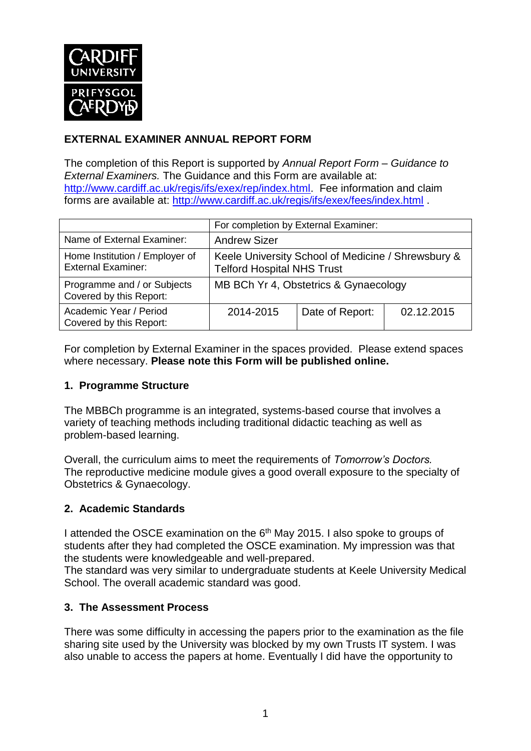

## **EXTERNAL EXAMINER ANNUAL REPORT FORM**

The completion of this Report is supported by *Annual Report Form – Guidance to External Examiners.* The Guidance and this Form are available at: [http://www.cardiff.ac.uk/regis/ifs/exex/rep/index.html.](http://www.cardiff.ac.uk/regis/ifs/exex/rep/index.html) Fee information and claim forms are available at:<http://www.cardiff.ac.uk/regis/ifs/exex/fees/index.html> .

|                                                             | For completion by External Examiner:                                                    |                 |            |  |
|-------------------------------------------------------------|-----------------------------------------------------------------------------------------|-----------------|------------|--|
| Name of External Examiner:                                  | <b>Andrew Sizer</b>                                                                     |                 |            |  |
| Home Institution / Employer of<br><b>External Examiner:</b> | Keele University School of Medicine / Shrewsbury &<br><b>Telford Hospital NHS Trust</b> |                 |            |  |
| Programme and / or Subjects<br>Covered by this Report:      | MB BCh Yr 4, Obstetrics & Gynaecology                                                   |                 |            |  |
| Academic Year / Period<br>Covered by this Report:           | 2014-2015                                                                               | Date of Report: | 02.12.2015 |  |

For completion by External Examiner in the spaces provided. Please extend spaces where necessary. **Please note this Form will be published online.**

#### **1. Programme Structure**

The MBBCh programme is an integrated, systems-based course that involves a variety of teaching methods including traditional didactic teaching as well as problem-based learning.

Overall, the curriculum aims to meet the requirements of *Tomorrow's Doctors.* The reproductive medicine module gives a good overall exposure to the specialty of Obstetrics & Gynaecology.

#### **2. Academic Standards**

I attended the OSCE examination on the 6<sup>th</sup> May 2015. I also spoke to groups of students after they had completed the OSCE examination. My impression was that the students were knowledgeable and well-prepared.

The standard was very similar to undergraduate students at Keele University Medical School. The overall academic standard was good.

#### **3. The Assessment Process**

There was some difficulty in accessing the papers prior to the examination as the file sharing site used by the University was blocked by my own Trusts IT system. I was also unable to access the papers at home. Eventually I did have the opportunity to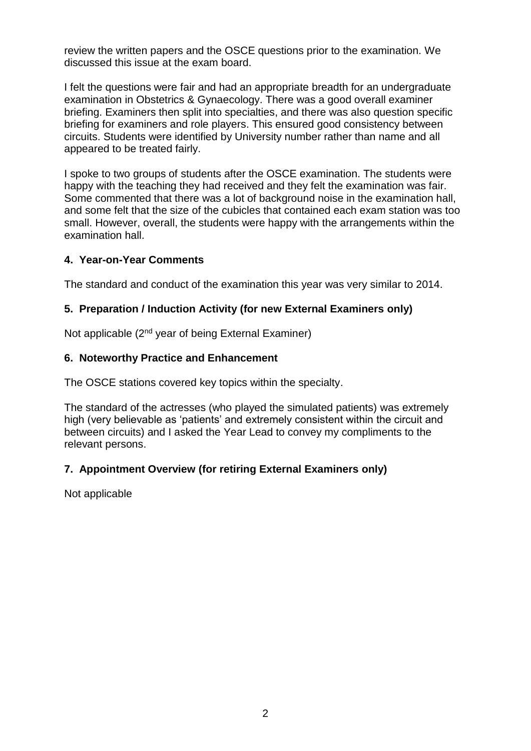review the written papers and the OSCE questions prior to the examination. We discussed this issue at the exam board.

I felt the questions were fair and had an appropriate breadth for an undergraduate examination in Obstetrics & Gynaecology. There was a good overall examiner briefing. Examiners then split into specialties, and there was also question specific briefing for examiners and role players. This ensured good consistency between circuits. Students were identified by University number rather than name and all appeared to be treated fairly.

I spoke to two groups of students after the OSCE examination. The students were happy with the teaching they had received and they felt the examination was fair. Some commented that there was a lot of background noise in the examination hall, and some felt that the size of the cubicles that contained each exam station was too small. However, overall, the students were happy with the arrangements within the examination hall.

#### **4. Year-on-Year Comments**

The standard and conduct of the examination this year was very similar to 2014.

#### **5. Preparation / Induction Activity (for new External Examiners only)**

Not applicable (2<sup>nd</sup> year of being External Examiner)

#### **6. Noteworthy Practice and Enhancement**

The OSCE stations covered key topics within the specialty.

The standard of the actresses (who played the simulated patients) was extremely high (very believable as 'patients' and extremely consistent within the circuit and between circuits) and I asked the Year Lead to convey my compliments to the relevant persons.

#### **7. Appointment Overview (for retiring External Examiners only)**

Not applicable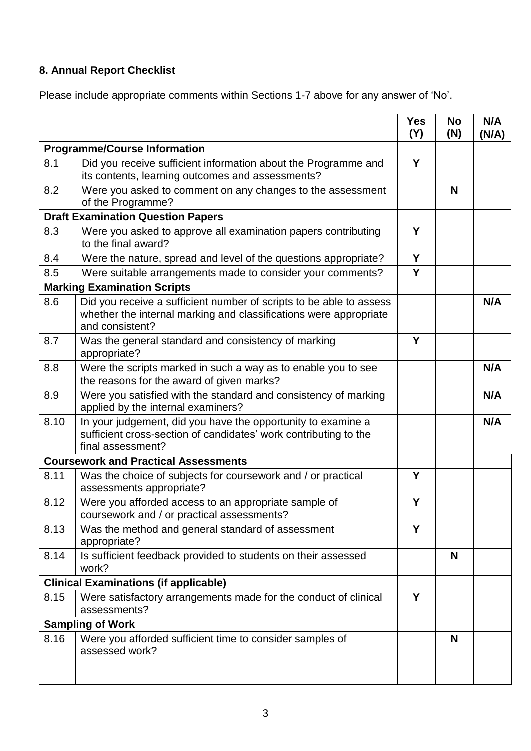# **8. Annual Report Checklist**

Please include appropriate comments within Sections 1-7 above for any answer of 'No'.

|                                              |                                                                                                                                                             | <b>Yes</b><br>(Y) | <b>No</b><br>(N) | N/A<br>(N/A) |
|----------------------------------------------|-------------------------------------------------------------------------------------------------------------------------------------------------------------|-------------------|------------------|--------------|
| <b>Programme/Course Information</b>          |                                                                                                                                                             |                   |                  |              |
| 8.1                                          | Did you receive sufficient information about the Programme and<br>its contents, learning outcomes and assessments?                                          | Y                 |                  |              |
| 8.2                                          | Were you asked to comment on any changes to the assessment<br>of the Programme?                                                                             |                   | N                |              |
| <b>Draft Examination Question Papers</b>     |                                                                                                                                                             |                   |                  |              |
| 8.3                                          | Were you asked to approve all examination papers contributing<br>to the final award?                                                                        | Y                 |                  |              |
| 8.4                                          | Were the nature, spread and level of the questions appropriate?                                                                                             | Y                 |                  |              |
| 8.5                                          | Were suitable arrangements made to consider your comments?                                                                                                  | Y                 |                  |              |
|                                              | <b>Marking Examination Scripts</b>                                                                                                                          |                   |                  |              |
| 8.6                                          | Did you receive a sufficient number of scripts to be able to assess<br>whether the internal marking and classifications were appropriate<br>and consistent? |                   |                  | N/A          |
| 8.7                                          | Was the general standard and consistency of marking<br>appropriate?                                                                                         | Y                 |                  |              |
| 8.8                                          | Were the scripts marked in such a way as to enable you to see<br>the reasons for the award of given marks?                                                  |                   |                  | N/A          |
| 8.9                                          | Were you satisfied with the standard and consistency of marking<br>applied by the internal examiners?                                                       |                   |                  | N/A          |
| 8.10                                         | In your judgement, did you have the opportunity to examine a<br>sufficient cross-section of candidates' work contributing to the<br>final assessment?       |                   |                  | N/A          |
| <b>Coursework and Practical Assessments</b>  |                                                                                                                                                             |                   |                  |              |
| 8.11                                         | Was the choice of subjects for coursework and / or practical<br>assessments appropriate?                                                                    | Y                 |                  |              |
| 8.12                                         | Were you afforded access to an appropriate sample of<br>coursework and / or practical assessments?                                                          | Y                 |                  |              |
| 8.13                                         | Was the method and general standard of assessment<br>appropriate?                                                                                           | Y                 |                  |              |
| 8.14                                         | Is sufficient feedback provided to students on their assessed<br>work?                                                                                      |                   | N                |              |
| <b>Clinical Examinations (if applicable)</b> |                                                                                                                                                             |                   |                  |              |
| 8.15                                         | Were satisfactory arrangements made for the conduct of clinical<br>assessments?                                                                             | Y                 |                  |              |
| <b>Sampling of Work</b>                      |                                                                                                                                                             |                   |                  |              |
| 8.16                                         | Were you afforded sufficient time to consider samples of<br>assessed work?                                                                                  |                   | N                |              |